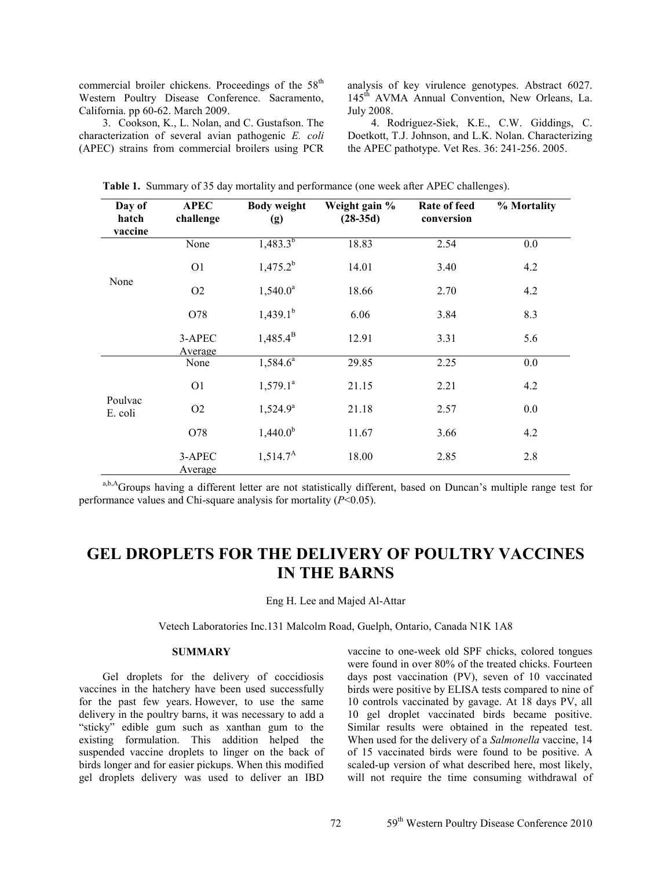commercial broiler chickens. Proceedings of the 58<sup>th</sup> Western Poultry Disease Conference. Sacramento, California. pp 60-62. March 2009.

3. Cookson, K., L. Nolan, and C. Gustafson. The characterization of several avian pathogenic *E. coli* (APEC) strains from commercial broilers using PCR analysis of key virulence genotypes. Abstract 6027. 145<sup>th</sup> AVMA Annual Convention, New Orleans, La. July 2008.

4. Rodriguez-Siek, K.E., C.W. Giddings, C. Doetkott, T.J. Johnson, and L.K. Nolan. Characterizing the APEC pathotype. Vet Res. 36: 241-256. 2005.

| Day of<br>hatch<br>vaccine | <b>APEC</b><br>challenge | <b>Body weight</b><br>(g) | Weight gain %<br>$(28-35d)$ | Rate of feed<br>conversion | % Mortality |
|----------------------------|--------------------------|---------------------------|-----------------------------|----------------------------|-------------|
|                            | None                     | $1,483.3^{b}$             | 18.83                       | 2.54                       | 0.0         |
| None                       | O <sub>1</sub>           | $1,475.2^b$               | 14.01                       | 3.40                       | 4.2         |
|                            | O2                       | $1,540.0^a$               | 18.66                       | 2.70                       | 4.2         |
|                            | O78                      | $1,439.1^{b}$             | 6.06                        | 3.84                       | 8.3         |
|                            | 3-APEC<br>Average        | $1,485.4^{\rm B}$         | 12.91                       | 3.31                       | 5.6         |
| Poulvac<br>E. coli         | None                     | $1,584.6^{\overline{a}}$  | 29.85                       | 2.25                       | 0.0         |
|                            | O <sub>1</sub>           | $1,579.1^a$               | 21.15                       | 2.21                       | 4.2         |
|                            | O2                       | $1,524.9^a$               | 21.18                       | 2.57                       | 0.0         |
|                            | O78                      | $1,440.0^b$               | 11.67                       | 3.66                       | 4.2         |
|                            | 3-APEC<br>Average        | $1,514.7^A$               | 18.00                       | 2.85                       | 2.8         |

**Table 1.** Summary of 35 day mortality and performance (one week after APEC challenges).

a,b,AGroups having a different letter are not statistically different, based on Duncan's multiple range test for performance values and Chi-square analysis for mortality (*P*<0.05).

# **GEL DROPLETS FOR THE DELIVERY OF POULTRY VACCINES IN THE BARNS**

Eng H. Lee and Majed Al-Attar

Vetech Laboratories Inc.131 Malcolm Road, Guelph, Ontario, Canada N1K 1A8

## **SUMMARY**

Gel droplets for the delivery of coccidiosis vaccines in the hatchery have been used successfully for the past few years. However, to use the same delivery in the poultry barns, it was necessary to add a "sticky" edible gum such as xanthan gum to the existing formulation. This addition helped the suspended vaccine droplets to linger on the back of birds longer and for easier pickups. When this modified gel droplets delivery was used to deliver an IBD

vaccine to one-week old SPF chicks, colored tongues were found in over 80% of the treated chicks. Fourteen days post vaccination (PV), seven of 10 vaccinated birds were positive by ELISA tests compared to nine of 10 controls vaccinated by gavage. At 18 days PV, all 10 gel droplet vaccinated birds became positive. Similar results were obtained in the repeated test. When used for the delivery of a *Salmonella* vaccine, 14 of 15 vaccinated birds were found to be positive. A scaled-up version of what described here, most likely, will not require the time consuming withdrawal of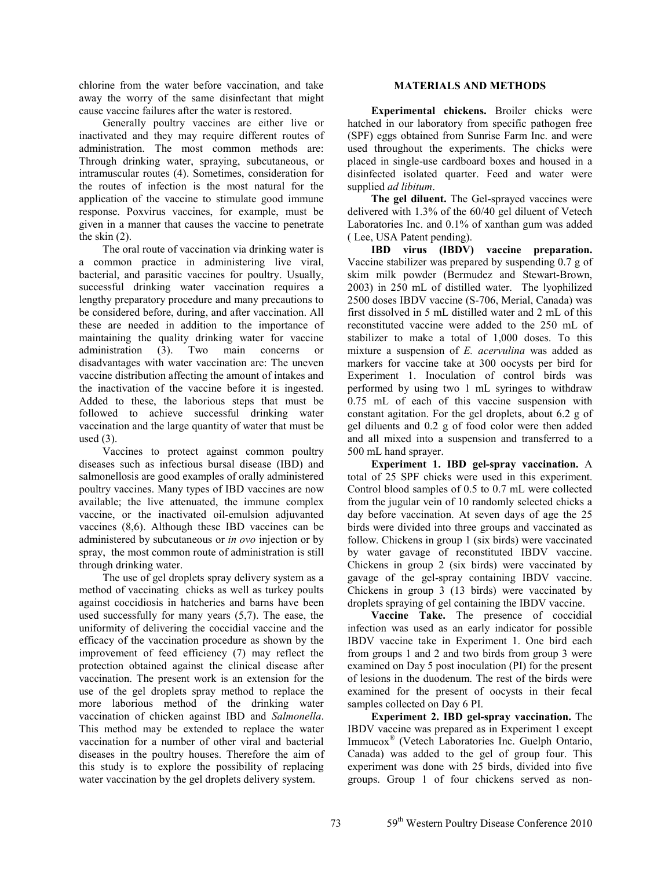chlorine from the water before vaccination, and take away the worry of the same disinfectant that might cause vaccine failures after the water is restored.

Generally poultry vaccines are either live or inactivated and they may require different routes of administration. The most common methods are: Through drinking water, spraying, subcutaneous, or intramuscular routes (4). Sometimes, consideration for the routes of infection is the most natural for the application of the vaccine to stimulate good immune response. Poxvirus vaccines, for example, must be given in a manner that causes the vaccine to penetrate the skin  $(2)$ .

The oral route of vaccination via drinking water is a common practice in administering live viral, bacterial, and parasitic vaccines for poultry. Usually, successful drinking water vaccination requires a lengthy preparatory procedure and many precautions to be considered before, during, and after vaccination. All these are needed in addition to the importance of maintaining the quality drinking water for vaccine administration (3). Two main concerns or disadvantages with water vaccination are: The uneven vaccine distribution affecting the amount of intakes and the inactivation of the vaccine before it is ingested. Added to these, the laborious steps that must be followed to achieve successful drinking water vaccination and the large quantity of water that must be used  $(3)$ .

Vaccines to protect against common poultry diseases such as infectious bursal disease (IBD) and salmonellosis are good examples of orally administered poultry vaccines. Many types of IBD vaccines are now available; the live attenuated, the immune complex vaccine, or the inactivated oil-emulsion adjuvanted vaccines (8,6). Although these IBD vaccines can be administered by subcutaneous or *in ovo* injection or by spray, the most common route of administration is still through drinking water.

The use of gel droplets spray delivery system as a method of vaccinating chicks as well as turkey poults against coccidiosis in hatcheries and barns have been used successfully for many years (5,7). The ease, the uniformity of delivering the coccidial vaccine and the efficacy of the vaccination procedure as shown by the improvement of feed efficiency (7) may reflect the protection obtained against the clinical disease after vaccination. The present work is an extension for the use of the gel droplets spray method to replace the more laborious method of the drinking water vaccination of chicken against IBD and *Salmonella*. This method may be extended to replace the water vaccination for a number of other viral and bacterial diseases in the poultry houses. Therefore the aim of this study is to explore the possibility of replacing water vaccination by the gel droplets delivery system.

## **MATERIALS AND METHODS**

**Experimental chickens.** Broiler chicks were hatched in our laboratory from specific pathogen free (SPF) eggs obtained from Sunrise Farm Inc. and were used throughout the experiments. The chicks were placed in single-use cardboard boxes and housed in a disinfected isolated quarter. Feed and water were supplied *ad libitum*.

**The gel diluent.** The Gel-sprayed vaccines were delivered with 1.3% of the 60/40 gel diluent of Vetech Laboratories Inc. and 0.1% of xanthan gum was added ( Lee, USA Patent pending).

**IBD virus (IBDV) vaccine preparation.** Vaccine stabilizer was prepared by suspending 0.7 g of skim milk powder (Bermudez and Stewart-Brown, 2003) in 250 mL of distilled water. The lyophilized 2500 doses IBDV vaccine (S-706, Merial, Canada) was first dissolved in 5 mL distilled water and 2 mL of this reconstituted vaccine were added to the 250 mL of stabilizer to make a total of 1,000 doses. To this mixture a suspension of *E. acervulina* was added as markers for vaccine take at 300 oocysts per bird for Experiment 1. Inoculation of control birds was performed by using two 1 mL syringes to withdraw 0.75 mL of each of this vaccine suspension with constant agitation. For the gel droplets, about 6.2 g of gel diluents and 0.2 g of food color were then added and all mixed into a suspension and transferred to a 500 mL hand sprayer.

**Experiment 1. IBD gel-spray vaccination.** A total of 25 SPF chicks were used in this experiment. Control blood samples of 0.5 to 0.7 mL were collected from the jugular vein of 10 randomly selected chicks a day before vaccination. At seven days of age the 25 birds were divided into three groups and vaccinated as follow. Chickens in group 1 (six birds) were vaccinated by water gavage of reconstituted IBDV vaccine. Chickens in group 2 (six birds) were vaccinated by gavage of the gel-spray containing IBDV vaccine. Chickens in group 3 (13 birds) were vaccinated by droplets spraying of gel containing the IBDV vaccine.

**Vaccine Take.** The presence of coccidial infection was used as an early indicator for possible IBDV vaccine take in Experiment 1. One bird each from groups 1 and 2 and two birds from group 3 were examined on Day 5 post inoculation (PI) for the present of lesions in the duodenum. The rest of the birds were examined for the present of oocysts in their fecal samples collected on Day 6 PI.

**Experiment 2. IBD gel-spray vaccination.** The IBDV vaccine was prepared as in Experiment 1 except Immucox® (Vetech Laboratories Inc. Guelph Ontario, Canada) was added to the gel of group four. This experiment was done with 25 birds, divided into five groups. Group 1 of four chickens served as non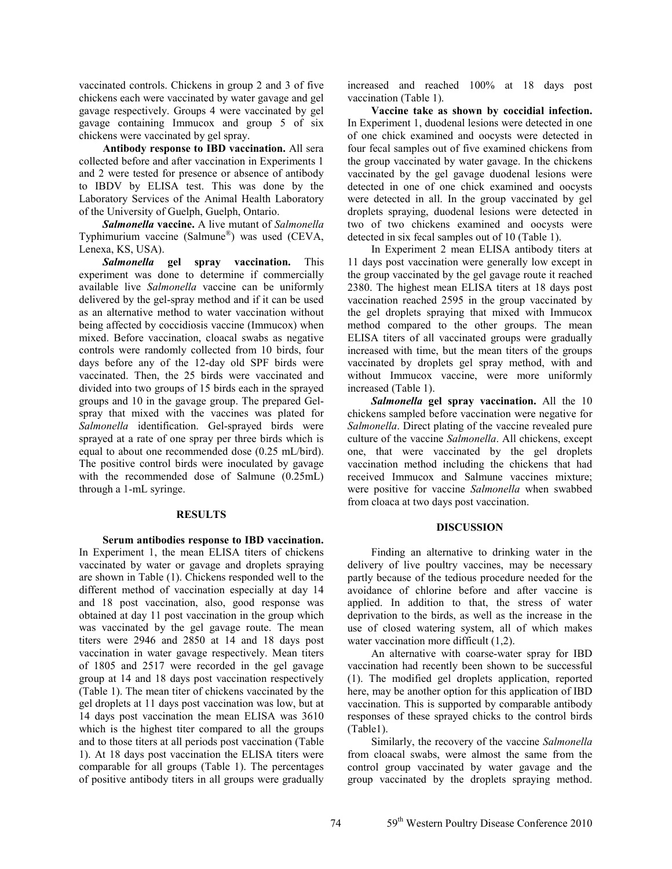vaccinated controls. Chickens in group 2 and 3 of five chickens each were vaccinated by water gavage and gel gavage respectively. Groups 4 were vaccinated by gel gavage containing Immucox and group 5 of six chickens were vaccinated by gel spray.

**Antibody response to IBD vaccination.** All sera collected before and after vaccination in Experiments 1 and 2 were tested for presence or absence of antibody to IBDV by ELISA test. This was done by the Laboratory Services of the Animal Health Laboratory of the University of Guelph, Guelph, Ontario.

*Salmonella* **vaccine.** A live mutant of *Salmonella* Typhimurium vaccine (Salmune®) was used (CEVA, Lenexa, KS, USA).

*Salmonella* **gel spray vaccination.** This experiment was done to determine if commercially available live *Salmonella* vaccine can be uniformly delivered by the gel-spray method and if it can be used as an alternative method to water vaccination without being affected by coccidiosis vaccine (Immucox) when mixed. Before vaccination, cloacal swabs as negative controls were randomly collected from 10 birds, four days before any of the 12-day old SPF birds were vaccinated. Then, the 25 birds were vaccinated and divided into two groups of 15 birds each in the sprayed groups and 10 in the gavage group. The prepared Gelspray that mixed with the vaccines was plated for *Salmonella* identification. Gel-sprayed birds were sprayed at a rate of one spray per three birds which is equal to about one recommended dose (0.25 mL/bird). The positive control birds were inoculated by gavage with the recommended dose of Salmune (0.25mL) through a 1-mL syringe.

### **RESULTS**

**Serum antibodies response to IBD vaccination.**  In Experiment 1, the mean ELISA titers of chickens vaccinated by water or gavage and droplets spraying are shown in Table (1). Chickens responded well to the different method of vaccination especially at day 14 and 18 post vaccination, also, good response was obtained at day 11 post vaccination in the group which was vaccinated by the gel gavage route. The mean titers were 2946 and 2850 at 14 and 18 days post vaccination in water gavage respectively. Mean titers of 1805 and 2517 were recorded in the gel gavage group at 14 and 18 days post vaccination respectively (Table 1). The mean titer of chickens vaccinated by the gel droplets at 11 days post vaccination was low, but at 14 days post vaccination the mean ELISA was 3610 which is the highest titer compared to all the groups and to those titers at all periods post vaccination (Table 1). At 18 days post vaccination the ELISA titers were comparable for all groups (Table 1). The percentages of positive antibody titers in all groups were gradually

increased and reached 100% at 18 days post vaccination (Table 1).

**Vaccine take as shown by coccidial infection.** In Experiment 1, duodenal lesions were detected in one of one chick examined and oocysts were detected in four fecal samples out of five examined chickens from the group vaccinated by water gavage. In the chickens vaccinated by the gel gavage duodenal lesions were detected in one of one chick examined and oocysts were detected in all. In the group vaccinated by gel droplets spraying, duodenal lesions were detected in two of two chickens examined and oocysts were detected in six fecal samples out of 10 (Table 1).

In Experiment 2 mean ELISA antibody titers at 11 days post vaccination were generally low except in the group vaccinated by the gel gavage route it reached 2380. The highest mean ELISA titers at 18 days post vaccination reached 2595 in the group vaccinated by the gel droplets spraying that mixed with Immucox method compared to the other groups. The mean ELISA titers of all vaccinated groups were gradually increased with time, but the mean titers of the groups vaccinated by droplets gel spray method, with and without Immucox vaccine, were more uniformly increased (Table 1).

*Salmonella* **gel spray vaccination.** All the 10 chickens sampled before vaccination were negative for *Salmonella*. Direct plating of the vaccine revealed pure culture of the vaccine *Salmonella*. All chickens, except one, that were vaccinated by the gel droplets vaccination method including the chickens that had received Immucox and Salmune vaccines mixture; were positive for vaccine *Salmonella* when swabbed from cloaca at two days post vaccination.

### **DISCUSSION**

Finding an alternative to drinking water in the delivery of live poultry vaccines, may be necessary partly because of the tedious procedure needed for the avoidance of chlorine before and after vaccine is applied. In addition to that, the stress of water deprivation to the birds, as well as the increase in the use of closed watering system, all of which makes water vaccination more difficult  $(1,2)$ .

An alternative with coarse-water spray for IBD vaccination had recently been shown to be successful (1). The modified gel droplets application, reported here, may be another option for this application of IBD vaccination. This is supported by comparable antibody responses of these sprayed chicks to the control birds (Table1).

Similarly, the recovery of the vaccine *Salmonella* from cloacal swabs, were almost the same from the control group vaccinated by water gavage and the group vaccinated by the droplets spraying method.